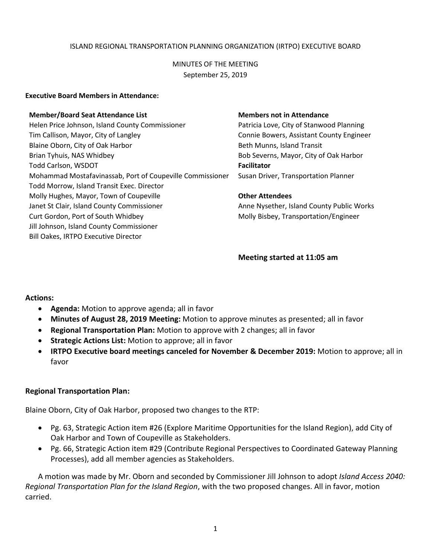#### ISLAND REGIONAL TRANSPORTATION PLANNING ORGANIZATION (IRTPO) EXECUTIVE BOARD

# MINUTES OF THE MEETING September 25, 2019

#### **Executive Board Members in Attendance:**

#### **Member/Board Seat Attendance List Members not in Attendance**

Helen Price Johnson, Island County Commissioner Patricia Love, City of Stanwood Planning Tim Callison, Mayor, City of Langley Connie Bowers, Assistant County Engineer Blaine Oborn, City of Oak Harbor **Beth Munns, Island Transit** Brian Tyhuis, NAS Whidbey **Brian Tyhuis, NAS Whidbey** Bob Severns, Mayor, City of Oak Harbor Todd Carlson, WSDOT **Facilitator** Mohammad Mostafavinassab, Port of Coupeville Commissioner Susan Driver, Transportation Planner Todd Morrow, Island Transit Exec. Director Molly Hughes, Mayor, Town of Coupeville **Other Attendees** Janet St Clair, Island County Commissioner Anne Nysether, Island County Public Works Curt Gordon, Port of South Whidbey Molly Bisbey, Transportation/Engineer Jill Johnson, Island County Commissioner Bill Oakes, IRTPO Executive Director

#### **Meeting started at 11:05 am**

#### **Actions:**

- **Agenda:** Motion to approve agenda; all in favor
- **Minutes of August 28, 2019 Meeting:** Motion to approve minutes as presented; all in favor
- **Regional Transportation Plan:** Motion to approve with 2 changes; all in favor
- **Strategic Actions List:** Motion to approve; all in favor
- **IRTPO Executive board meetings canceled for November & December 2019:** Motion to approve; all in favor

#### **Regional Transportation Plan:**

Blaine Oborn, City of Oak Harbor, proposed two changes to the RTP:

- Pg. 63, Strategic Action item #26 (Explore Maritime Opportunities for the Island Region), add City of Oak Harbor and Town of Coupeville as Stakeholders.
- Pg. 66, Strategic Action item #29 (Contribute Regional Perspectives to Coordinated Gateway Planning Processes), add all member agencies as Stakeholders.

A motion was made by Mr. Oborn and seconded by Commissioner Jill Johnson to adopt *Island Access 2040: Regional Transportation Plan for the Island Region*, with the two proposed changes. All in favor, motion carried.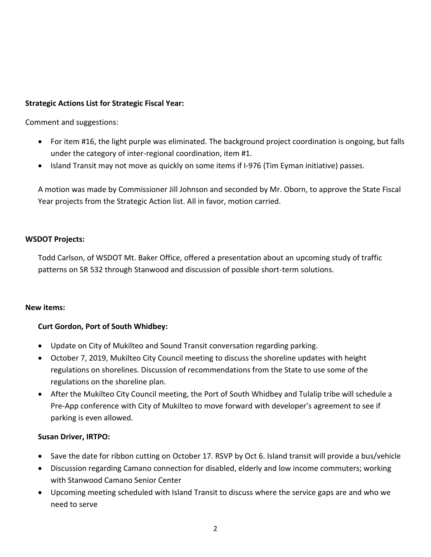# **Strategic Actions List for Strategic Fiscal Year:**

Comment and suggestions:

- For item #16, the light purple was eliminated. The background project coordination is ongoing, but falls under the category of inter-regional coordination, item #1.
- Island Transit may not move as quickly on some items if I-976 (Tim Eyman initiative) passes.

A motion was made by Commissioner Jill Johnson and seconded by Mr. Oborn, to approve the State Fiscal Year projects from the Strategic Action list. All in favor, motion carried.

# **WSDOT Projects:**

Todd Carlson, of WSDOT Mt. Baker Office, offered a presentation about an upcoming study of traffic patterns on SR 532 through Stanwood and discussion of possible short-term solutions.

## **New items:**

# **Curt Gordon, Port of South Whidbey:**

- Update on City of Mukilteo and Sound Transit conversation regarding parking.
- October 7, 2019, Mukilteo City Council meeting to discuss the shoreline updates with height regulations on shorelines. Discussion of recommendations from the State to use some of the regulations on the shoreline plan.
- After the Mukilteo City Council meeting, the Port of South Whidbey and Tulalip tribe will schedule a Pre-App conference with City of Mukilteo to move forward with developer's agreement to see if parking is even allowed.

# **Susan Driver, IRTPO:**

- Save the date for ribbon cutting on October 17. RSVP by Oct 6. Island transit will provide a bus/vehicle
- Discussion regarding Camano connection for disabled, elderly and low income commuters; working with Stanwood Camano Senior Center
- Upcoming meeting scheduled with Island Transit to discuss where the service gaps are and who we need to serve